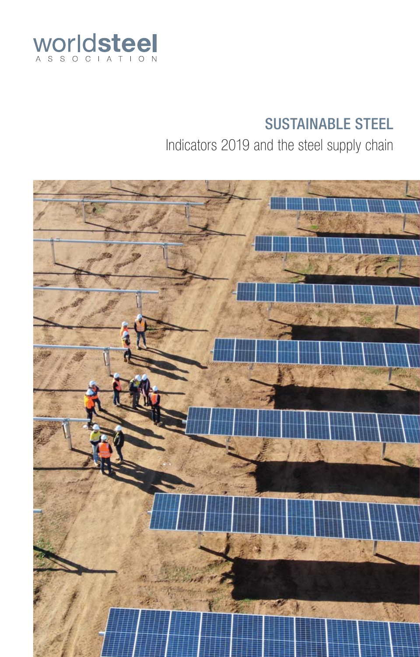

# SUSTAINABLE STEEL

Indicators 2019 and the steel supply chain

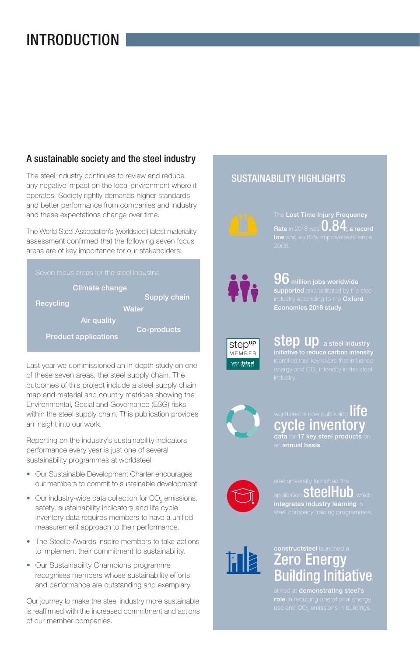## INTRODUCTION

### A sustainable society and the steel industry

The steel industry continues to review and reduce any negative impact on the local environment where it operates. Society rightly demands higher standards and better performance from companies and industry and these expectations change over time.

The World Steel Association's (worldsteel) latest materiality assessment confirmed that the following seven focus areas are of key importance for our stakeholders:

| Seven focus areas for the steel industry: |                             |              |  |  |  |
|-------------------------------------------|-----------------------------|--------------|--|--|--|
| Climate change                            |                             |              |  |  |  |
| Recycling                                 |                             | Supply chain |  |  |  |
|                                           | Water                       |              |  |  |  |
|                                           | Air quality                 |              |  |  |  |
|                                           |                             | Co-products  |  |  |  |
|                                           | <b>Product applications</b> |              |  |  |  |

Last year we commissioned an in-depth study on one of these seven areas, the steel supply chain. The outcomes of this project include a steel supply chain map and material and country matrices showing the Environmental, Social and Governance (ESG) risks within the steel supply chain. This publication provides an insight into our work.

Reporting on the industry's sustainability indicators performance every year is just one of several sustainability programmes at worldsteel.

- Our Sustainable Development Charter encourages our members to commit to sustainable development.
- Our industry-wide data collection for  $CO_{2}$  emissions, safety, sustainability indicators and life cycle inventory data requires members to have a unified measurement approach to their performance.
- The Steelie Awards inspire members to take actions to implement their commitment to sustainability.
- Our Sustainability Champions programme recognises members whose sustainability efforts and performance are outstanding and exemplary.

Our journey to make the steel industry more sustainable is reaffirmed with the increased commitment and actions of our member companies.

## SUSTAINABILITY HIGHLIGHTS



**Rate** in 2018 was 0.84**, a record low** and an 82% improvement since



96 **million jobs worldwide supported** and facilitated by the steel industry according to the **Oxford Economics 2019 study**.



step up : **a steel industry initiative to reduce carbon intensity**





### worldsteel is now publishing  $\prod\limits_{i=1}^n$ cycle inventory **data** for **17 key steel products**

an **annual basis**.



application  $steelHub$ , which **integrates industry learning** in



# **Zero Energy** Building Initiative,

aimed at **demonstrating steel's**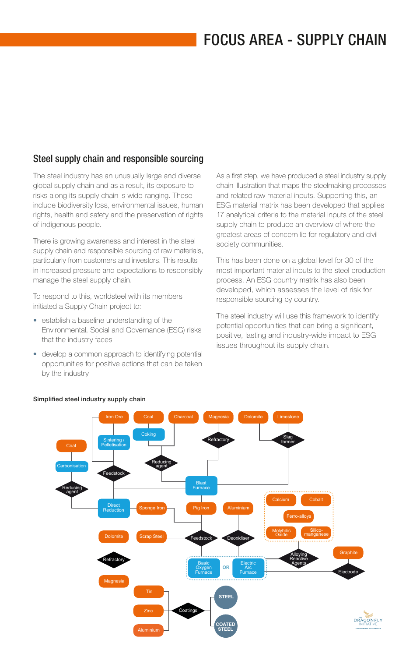### Steel supply chain and responsible sourcing

The steel industry has an unusually large and diverse global supply chain and as a result, its exposure to risks along its supply chain is wide-ranging. These include biodiversity loss, environmental issues, human rights, health and safety and the preservation of rights of indigenous people.

There is growing awareness and interest in the steel supply chain and responsible sourcing of raw materials, particularly from customers and investors. This results in increased pressure and expectations to responsibly manage the steel supply chain.

To respond to this, worldsteel with its members initiated a Supply Chain project to:

- establish a baseline understanding of the Environmental, Social and Governance (ESG) risks that the industry faces
- develop a common approach to identifying potential opportunities for positive actions that can be taken by the industry

As a first step, we have produced a steel industry supply chain illustration that maps the steelmaking processes and related raw material inputs. Supporting this, an ESG material matrix has been developed that applies 17 analytical criteria to the material inputs of the steel supply chain to produce an overview of where the greatest areas of concern lie for regulatory and civil society communities.

This has been done on a global level for 30 of the most important material inputs to the steel production process. An ESG country matrix has also been developed, which assesses the level of risk for responsible sourcing by country.

The steel industry will use this framework to identify potential opportunities that can bring a significant, positive, lasting and industry-wide impact to ESG issues throughout its supply chain.



#### **Simplified steel industry supply chain**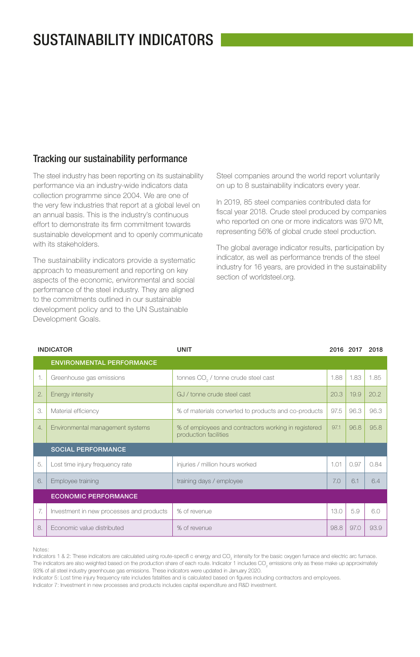## SUSTAINABILITY INDICATORS

#### Tracking our sustainability performance

The steel industry has been reporting on its sustainability performance via an industry-wide indicators data collection programme since 2004. We are one of the very few industries that report at a global level on an annual basis. This is the industry's continuous effort to demonstrate its firm commitment towards sustainable development and to openly communicate with its stakeholders.

The sustainability indicators provide a systematic approach to measurement and reporting on key aspects of the economic, environmental and social performance of the steel industry. They are aligned to the commitments outlined in our sustainable development policy and to the UN Sustainable Development Goals.

Steel companies around the world report voluntarily on up to 8 sustainability indicators every year.

In 2019, 85 steel companies contributed data for fiscal year 2018. Crude steel produced by companies who reported on one or more indicators was 970 Mt, representing 56% of global crude steel production.

The global average indicator results, participation by indicator, as well as performance trends of the steel industry for 16 years, are provided in the sustainability section of worldsteel.org.

| <b>INDICATOR</b> |                                          | <b>UNIT</b>                                                                   |      | 2016 2017 | 2018 |  |
|------------------|------------------------------------------|-------------------------------------------------------------------------------|------|-----------|------|--|
|                  | <b>ENVIRONMENTAL PERFORMANCE</b>         |                                                                               |      |           |      |  |
| 1.               | Greenhouse gas emissions                 | tonnes CO <sub>2</sub> / tonne crude steel cast                               | 1.88 | 1.83      | 1.85 |  |
| 2.               | Energy intensity                         | GJ / tonne crude steel cast                                                   | 20.3 | 19.9      | 20.2 |  |
| 3.               | Material efficiency                      | % of materials converted to products and co-products                          | 97.5 | 96.3      | 96.3 |  |
| $\overline{4}$ . | Environmental management systems         | % of employees and contractors working in registered<br>production facilities | 97.1 | 96.8      | 95.8 |  |
|                  | <b>SOCIAL PERFORMANCE</b>                |                                                                               |      |           |      |  |
| 5.               | Lost time injury frequency rate          | injuries / million hours worked                                               | 1.01 | 0.97      | 0.84 |  |
| 6.               | Employee training                        | training days / employee                                                      | 7.0  | 6.1       | 6.4  |  |
|                  | <b>ECONOMIC PERFORMANCE</b>              |                                                                               |      |           |      |  |
| 7.               | Investment in new processes and products | % of revenue                                                                  | 13.0 | 5.9       | 6.0  |  |
| 8.               | Economic value distributed               | % of revenue                                                                  | 98.8 | 97.0      | 93.9 |  |

Notes:

Indicators 1 & 2: These indicators are calculated using route-specifi c energy and CO<sub>2</sub> intensity for the basic oxygen furnace and electric arc furnace. The indicators are also weighted based on the production share of each route. Indicator 1 includes CO<sub>2</sub> emissions only as these make up approximately 93% of all steel industry greenhouse gas emissions. These indicators were updated in January 2020.

Indicator 5: Lost time injury frequency rate includes fatalities and is calculated based on figures including contractors and employees.

Indicator 7: Investment in new processes and products includes capital expenditure and R&D investment.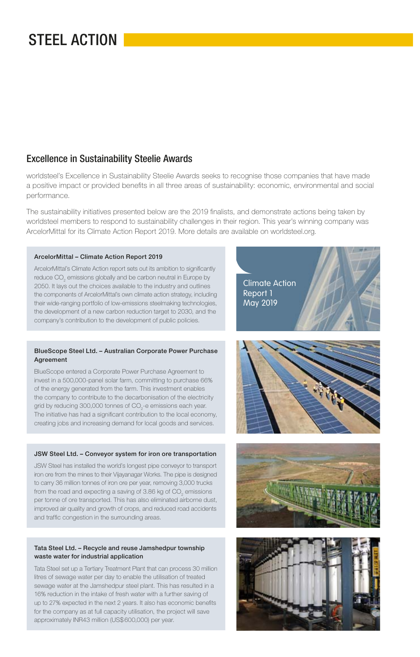## STEEL ACTION

### Excellence in Sustainability Steelie Awards

worldsteel's Excellence in Sustainability Steelie Awards seeks to recognise those companies that have made a positive impact or provided benefits in all three areas of sustainability: economic, environmental and social performance.

The sustainability initiatives presented below are the 2019 finalists, and demonstrate actions being taken by worldsteel members to respond to sustainability challenges in their region. This year's winning company was ArcelorMittal for its Climate Action Report 2019. More details are available on worldsteel.org.

#### **ArcelorMittal – Climate Action Report 2019**

ArcelorMittal's Climate Action report sets out its ambition to significantly reduce CO $_{\tiny 2}$  emissions globally and be carbon neutral in Europe by 2050. It lays out the choices available to the industry and outlines the components of ArcelorMittal's own climate action strategy, including their wide-ranging portfolio of low-emissions steelmaking technologies, the development of a new carbon reduction target to 2030, and the company's contribution to the development of public policies.

#### **BlueScope Steel Ltd. – Australian Corporate Power Purchase Agreement**

BlueScope entered a Corporate Power Purchase Agreement to invest in a 500,000-panel solar farm, committing to purchase 66% of the energy generated from the farm. This investment enables the company to contribute to the decarbonisation of the electricity grid by reducing 300,000 tonnes of CO $_2$ -e emissions each year. The initiative has had a significant contribution to the local economy, creating jobs and increasing demand for local goods and services.

#### **JSW Steel Ltd. – Conveyor system for iron ore transportation**

JSW Steel has installed the world's longest pipe conveyor to transport iron ore from the mines to their Vijayanagar Works. The pipe is designed to carry 36 million tonnes of iron ore per year, removing 3,000 trucks from the road and expecting a saving of 3.86 kg of CO<sub>2</sub> emissions per tonne of ore transported. This has also eliminated airborne dust, improved air quality and growth of crops, and reduced road accidents and traffic congestion in the surrounding areas.

#### **Tata Steel Ltd. – Recycle and reuse Jamshedpur township waste water for industrial application**

Tata Steel set up a Tertiary Treatment Plant that can process 30 million litres of sewage water per day to enable the utilisation of treated sewage water at the Jamshedpur steel plant. This has resulted in a 16% reduction in the intake of fresh water with a further saving of up to 27% expected in the next 2 years. It also has economic benefits for the company as at full capacity utilisation, the project will save approximately INR43 million (US\$ 600,000) per year.

Climate Action Report 1 May 2019